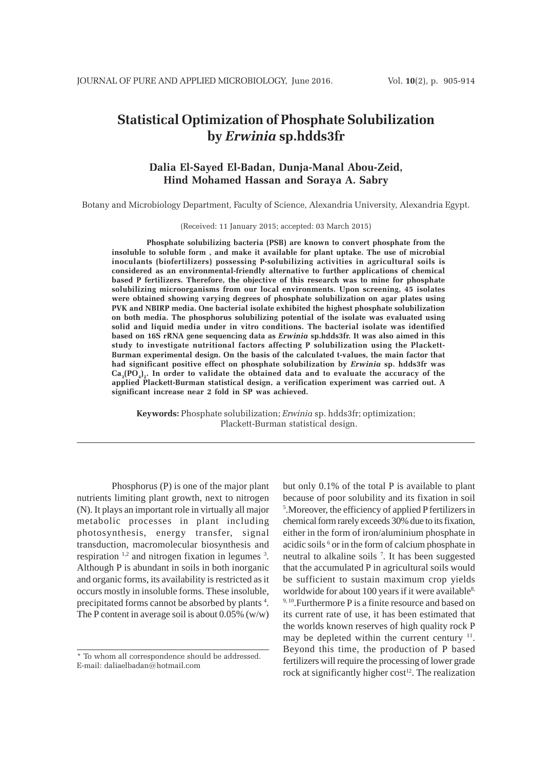# **Statistical Optimization of Phosphate Solubilization by** *Erwinia* **sp.hdds3fr**

# **Dalia El-Sayed El-Badan, Dunja-Manal Abou-Zeid, Hind Mohamed Hassan and Soraya A. Sabry**

Botany and Microbiology Department, Faculty of Science, Alexandria University, Alexandria Egypt.

(Received: 11 January 2015; accepted: 03 March 2015)

**Phosphate solubilizing bacteria (PSB) are known to convert phosphate from the insoluble to soluble form , and make it available for plant uptake. The use of microbial inoculants (biofertilizers) possessing P-solubilizing activities in agricultural soils is considered as an environmental-friendly alternative to further applications of chemical based P fertilizers. Therefore, the objective of this research was to mine for phosphate solubilizing microorganisms from our local environments. Upon screening, 45 isolates were obtained showing varying degrees of phosphate solubilization on agar plates using PVK and NBIRP media. One bacterial isolate exhibited the highest phosphate solubilization on both media. The phosphorus solubilizing potential of the isolate was evaluated using solid and liquid media under in vitro conditions. The bacterial isolate was identified based on 16S rRNA gene sequencing data as** *Erwinia* **sp.hdds3fr. It was also aimed in this study to investigate nutritional factors affecting P solubilization using the Plackett-Burman experimental design. On the basis of the calculated t-values, the main factor that had significant positive effect on phosphate solubilization by** *Erwinia* **sp. hdds3fr was**  $Ca<sub>3</sub>(PO<sub>4</sub>)<sub>2</sub>$ . In order to validate the obtained data and to evaluate the accuracy of the **applied Plackett-Burman statistical design, a verification experiment was carried out. A significant increase near 2 fold in SP was achieved.**

**Keywords:** Phosphate solubilization; *Erwinia* sp. hdds3fr; optimization; Plackett-Burman statistical design.

Phosphorus (P) is one of the major plant nutrients limiting plant growth, next to nitrogen (N). It plays an important role in virtually all major metabolic processes in plant including photosynthesis, energy transfer, signal transduction, macromolecular biosynthesis and respiration  $\frac{1}{2}$  and nitrogen fixation in legumes  $\frac{3}{2}$ . Although P is abundant in soils in both inorganic and organic forms, its availability is restricted as it occurs mostly in insoluble forms. These insoluble, precipitated forms cannot be absorbed by plants<sup>4</sup>. The P content in average soil is about  $0.05\%$  (w/w)

but only 0.1% of the total P is available to plant because of poor solubility and its fixation in soil 5 .Moreover, the efficiency of applied P fertilizers in chemical form rarely exceeds 30% due to its fixation, either in the form of iron/aluminium phosphate in acidic soils <sup>6</sup> or in the form of calcium phosphate in neutral to alkaline soils 7 . It has been suggested that the accumulated P in agricultural soils would be sufficient to sustain maximum crop yields worldwide for about 100 years if it were available<sup>8,</sup> <sup>9, 10</sup>. Furthermore P is a finite resource and based on its current rate of use, it has been estimated that the worlds known reserves of high quality rock P may be depleted within the current century  $11$ . Beyond this time, the production of P based fertilizers will require the processing of lower grade rock at significantly higher  $cost<sup>12</sup>$ . The realization

<sup>\*</sup> To whom all correspondence should be addressed. E-mail: daliaelbadan@hotmail.com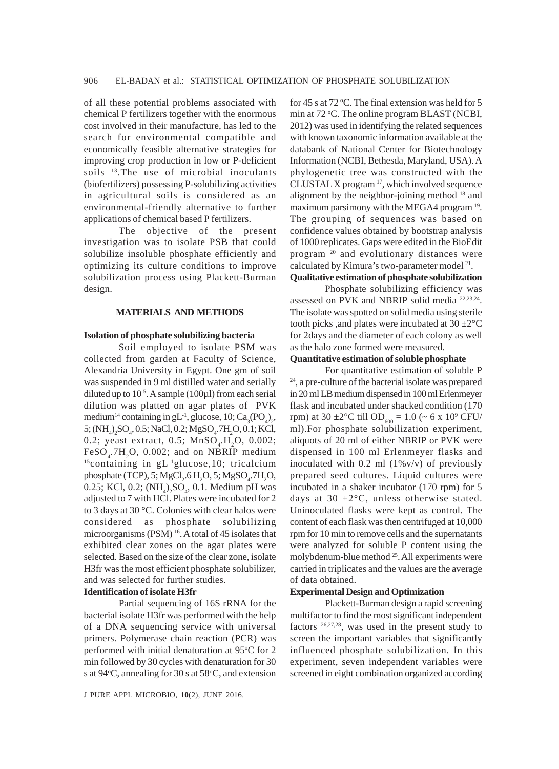of all these potential problems associated with chemical P fertilizers together with the enormous cost involved in their manufacture, has led to the search for environmental compatible and economically feasible alternative strategies for improving crop production in low or P-deficient soils <sup>13</sup>. The use of microbial inoculants (biofertilizers) possessing P-solubilizing activities in agricultural soils is considered as an environmental-friendly alternative to further applications of chemical based P fertilizers.

The objective of the present investigation was to isolate PSB that could solubilize insoluble phosphate efficiently and optimizing its culture conditions to improve solubilization process using Plackett-Burman design.

## **MATERIALS AND METHODS**

#### **Isolation of phosphate solubilizing bacteria**

Soil employed to isolate PSM was collected from garden at Faculty of Science, Alexandria University in Egypt. One gm of soil was suspended in 9 ml distilled water and serially diluted up to  $10^{-5}$ . A sample (100 $\mu$ 1) from each serial dilution was platted on agar plates of PVK medium<sup>14</sup> containing in gL<sup>-1</sup>, glucose, 10;  $\text{Ca}_{3}\text{(PO}_{4})_{2}$ , 5; (NH<sub>4</sub>)<sub>2</sub>SO<sub>4</sub>, 0.5; NaCl, 0.2; MgSO<sub>4</sub>.7H<sub>2</sub>O, 0.1; KCl, 0.2; yeast extract, 0.5;  $MnSO_4.H_2O$ , 0.002;  $FeSO<sub>4</sub>$ .7H<sub>2</sub>O, 0.002; and on NBRIP medium 15containing in gL-1glucose,10; tricalcium phosphate (TCP), 5;  $MgCl_2.6 H_2O$ , 5;  $MgSO_4.7 H_2O$ , 0.25; KCl, 0.2;  $(NH_4)_2SO_4$ , 0.1. Medium pH was adjusted to 7 with HCl. Plates were incubated for 2 to 3 days at 30 °C. Colonies with clear halos were considered as phosphate solubilizing microorganisms (PSM)<sup>16</sup>. A total of 45 isolates that exhibited clear zones on the agar plates were selected. Based on the size of the clear zone, isolate H3fr was the most efficient phosphate solubilizer, and was selected for further studies.

# **Identification of isolate H3fr**

Partial sequencing of 16S rRNA for the bacterial isolate H3fr was performed with the help of a DNA sequencing service with universal primers. Polymerase chain reaction (PCR) was performed with initial denaturation at 95°C for 2 min followed by 30 cycles with denaturation for 30 s at 94°C, annealing for 30 s at 58°C, and extension

for 45 s at 72 °C. The final extension was held for 5 min at 72 °C. The online program BLAST (NCBI, 2012) was used in identifying the related sequences with known taxonomic information available at the databank of National Center for Biotechnology Information (NCBI, Bethesda, Maryland, USA). A phylogenetic tree was constructed with the CLUSTAL  $X$  program  $^{17}$ , which involved sequence alignment by the neighbor-joining method <sup>18</sup> and maximum parsimony with the MEGA4 program <sup>19</sup>. The grouping of sequences was based on confidence values obtained by bootstrap analysis of 1000 replicates. Gaps were edited in the BioEdit program 20 and evolutionary distances were calculated by Kimura's two-parameter model<sup>21</sup>.

# **Qualitative estimation of phosphate solubilization**

Phosphate solubilizing efficiency was assessed on PVK and NBRIP solid media 22,23,24. The isolate was spotted on solid media using sterile tooth picks, and plates were incubated at  $30 \pm 2^{\circ}$ C for 2days and the diameter of each colony as well as the halo zone formed were measured.

## **Quantitative estimation of soluble phosphate**

For quantitative estimation of soluble P 24, a pre-culture of the bacterial isolate was prepared in 20 ml LB medium dispensed in 100 ml Erlenmeyer flask and incubated under shacked condition (170 rpm) at 30  $\pm 2^{\circ}$ C till OD<sub>600</sub> = 1.0 (~ 6 x 10<sup>9</sup> CFU/ ml).For phosphate solubilization experiment, aliquots of 20 ml of either NBRIP or PVK were dispensed in 100 ml Erlenmeyer flasks and inoculated with  $0.2$  ml  $(1\%v/v)$  of previously prepared seed cultures. Liquid cultures were incubated in a shaker incubator (170 rpm) for 5 days at 30  $\pm 2^{\circ}$ C, unless otherwise stated. Uninoculated flasks were kept as control. The content of each flask was then centrifuged at 10,000 rpm for 10 min to remove cells and the supernatants were analyzed for soluble P content using the molybdenum-blue method 25. All experiments were carried in triplicates and the values are the average of data obtained.

## **Experimental Design and Optimization**

Plackett-Burman design a rapid screening multifactor to find the most significant independent factors 26,27,28, was used in the present study to screen the important variables that significantly influenced phosphate solubilization. In this experiment, seven independent variables were screened in eight combination organized according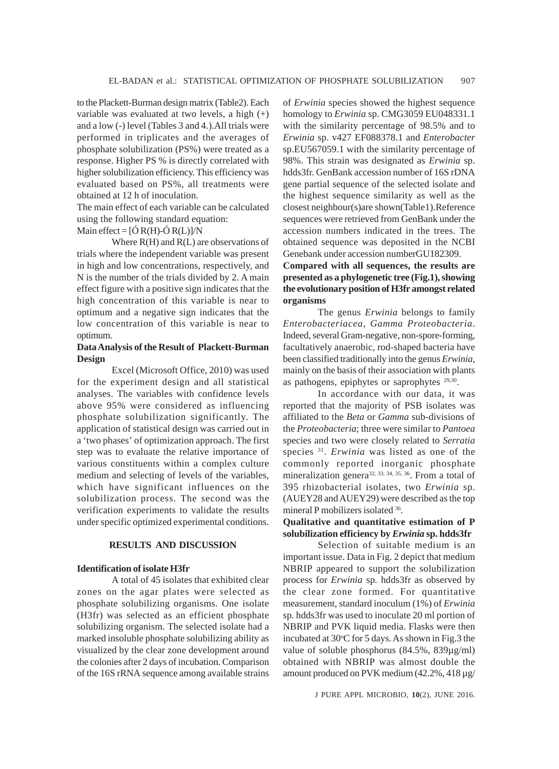to the Plackett-Burman design matrix (Table2). Each variable was evaluated at two levels, a high (+) and a low (-) level (Tables 3 and 4.).All trials were performed in triplicates and the averages of phosphate solubilization (PS%) were treated as a response. Higher PS % is directly correlated with higher solubilization efficiency. This efficiency was evaluated based on PS%, all treatments were obtained at 12 h of inoculation.

The main effect of each variable can be calculated using the following standard equation:

Main effect =  $[Ó R(H)-Ó R(L)]/N$ 

Where R(H) and R(L) are observations of trials where the independent variable was present in high and low concentrations, respectively, and N is the number of the trials divided by 2. A main effect figure with a positive sign indicates that the high concentration of this variable is near to optimum and a negative sign indicates that the low concentration of this variable is near to optimum.

# **Data Analysis of the Result of Plackett-Burman Design**

Excel (Microsoft Office, 2010) was used for the experiment design and all statistical analyses. The variables with confidence levels above 95% were considered as influencing phosphate solubilization significantly. The application of statistical design was carried out in a 'two phases' of optimization approach. The first step was to evaluate the relative importance of various constituents within a complex culture medium and selecting of levels of the variables, which have significant influences on the solubilization process. The second was the verification experiments to validate the results under specific optimized experimental conditions.

## **RESULTS AND DISCUSSION**

#### **Identification of isolate H3fr**

A total of 45 isolates that exhibited clear zones on the agar plates were selected as phosphate solubilizing organisms. One isolate (H3fr) was selected as an efficient phosphate solubilizing organism. The selected isolate had a marked insoluble phosphate solubilizing ability as visualized by the clear zone development around the colonies after 2 days of incubation. Comparison of the 16S rRNA sequence among available strains

of *Erwinia* species showed the highest sequence homology to *Erwinia* sp. CMG3059 EU048331.1 with the similarity percentage of 98.5% and to *Erwinia* sp. v427 EF088378.1 and *Enterobacter* sp.EU567059.1 with the similarity percentage of 98%. This strain was designated as *Erwinia* sp. hdds3fr. GenBank accession number of 16S rDNA gene partial sequence of the selected isolate and the highest sequence similarity as well as the closest neighbour(s)are shown(Table1).Reference sequences were retrieved from GenBank under the accession numbers indicated in the trees. The obtained sequence was deposited in the NCBI Genebank under accession numberGU182309.

# **Compared with all sequences, the results are presented as a phylogenetic tree (Fig.1), showing the evolutionary position of H3fr amongst related organisms**

The genus *Erwinia* belongs to family *Enterobacteriacea*, *Gamma Proteobacteria*. Indeed, several Gram-negative, non-spore-forming, facultatively anaerobic, rod-shaped bacteria have been classified traditionally into the genus *Erwinia*, mainly on the basis of their association with plants as pathogens, epiphytes or saprophytes 29,30.

In accordance with our data, it was reported that the majority of PSB isolates was affiliated to the *Beta* or *Gamma* sub-divisions of the *Proteobacteria*; three were similar to *Pantoea* species and two were closely related to *Serratia* species 31. *Erwinia* was listed as one of the commonly reported inorganic phosphate mineralization genera<sup>32, 33, 34, 35, 36</sup>. From a total of 395 rhizobacterial isolates, two *Erwinia* sp. (AUEY28 and AUEY29) were described as the top mineral P mobilizers isolated 36.

# **Qualitative and quantitative estimation of P solubilization efficiency by** *Erwinia* **sp. hdds3fr**

Selection of suitable medium is an important issue. Data in Fig. 2 depict that medium NBRIP appeared to support the solubilization process for *Erwinia* sp*.* hdds3fr as observed by the clear zone formed. For quantitative measurement, standard inoculum (1%) of *Erwinia* sp*.* hdds3fr was used to inoculate 20 ml portion of NBRIP and PVK liquid media. Flasks were then incubated at 30°C for 5 days. As shown in Fig.3 the value of soluble phosphorus (84.5%, 839µg/ml) obtained with NBRIP was almost double the amount produced on PVK medium (42.2%, 418 µg/

J PURE APPL MICROBIO*,* **10**(2), JUNE 2016.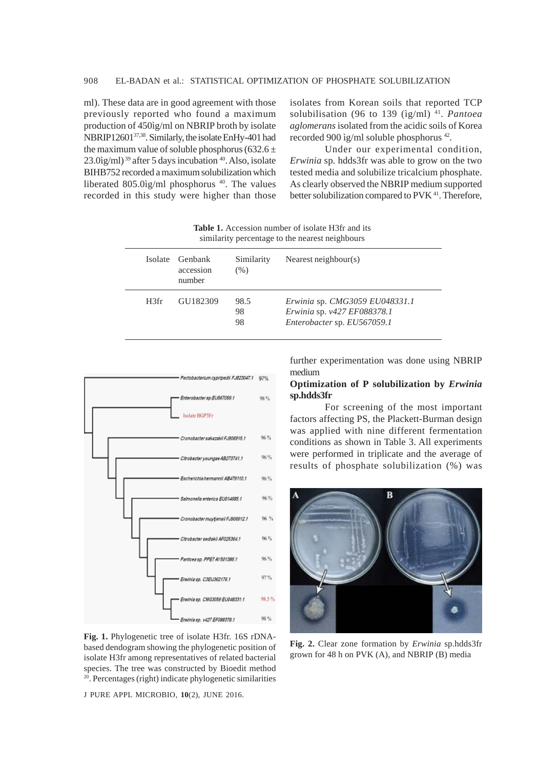ml). These data are in good agreement with those previously reported who found a maximum production of 450ìg/ml on NBRIP broth by isolate NBRIP1260137,38. Similarly, the isolate EnHy-401 had the maximum value of soluble phosphorus (632.6  $\pm$  $23.0$ ìg/ml)<sup>39</sup> after 5 days incubation  $40$ . Also, isolate BIHB752 recorded a maximum solubilization which liberated 805.0ìg/ml phosphorus 40. The values recorded in this study were higher than those isolates from Korean soils that reported TCP solubilisation (96 to 139 (ìg/ml) 41. *Pantoea aglomerans* isolated from the acidic soils of Korea recorded 900 ìg/ml soluble phosphorus 42*.*

Under our experimental condition, *Erwinia* sp*.* hdds3fr was able to grow on the two tested media and solubilize tricalcium phosphate. As clearly observed the NBRIP medium supported better solubilization compared to PVK<sup>41</sup>. Therefore,

**Table 1.** Accession number of isolate H3fr and its similarity percentage to the nearest neighbours

| Isolate | Genbank<br>accession<br>number | Similarity<br>$(\%)$ | Nearest neighbour(s)                                          |
|---------|--------------------------------|----------------------|---------------------------------------------------------------|
| H3fr    | GU182309                       | 98.5<br>98           | Erwinia sp. CMG3059 EU048331.1<br>Erwinia sp. v427 EF088378.1 |
|         |                                | 98                   | Enterobacter sp. EU567059.1                                   |



**Fig. 1.** Phylogenetic tree of isolate H3fr. 16S rDNAbased dendogram showing the phylogenetic position of isolate H3fr among representatives of related bacterial species. The tree was constructed by Bioedit method 20. Percentages (right) indicate phylogenetic similarities

J PURE APPL MICROBIO*,* **10**(2), JUNE 2016.

further experimentation was done using NBRIP medium

# **Optimization of P solubilization by** *Erwinia* **sp.hdds3fr**

For screening of the most important factors affecting PS, the Plackett-Burman design was applied with nine different fermentation conditions as shown in Table 3. All experiments were performed in triplicate and the average of results of phosphate solubilization (%) was



**Fig. 2.** Clear zone formation by *Erwinia* sp*.*hdds3fr grown for 48 h on PVK (A), and NBRIP (B) media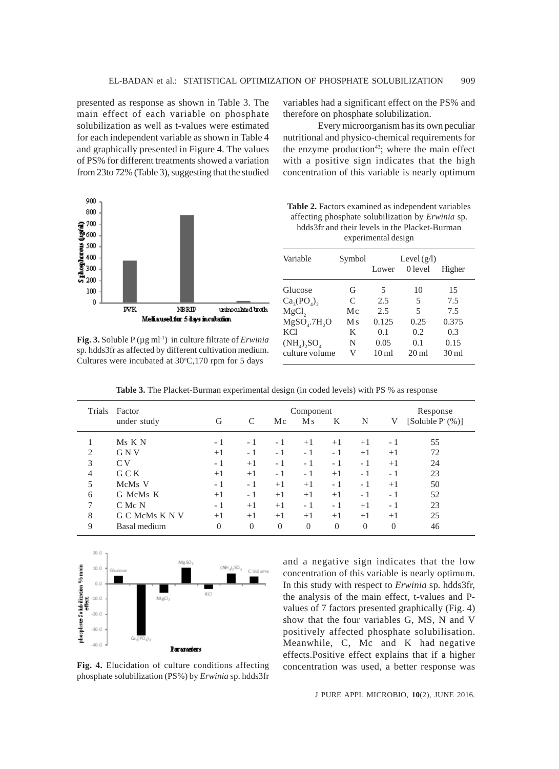presented as response as shown in Table 3. The main effect of each variable on phosphate solubilization as well as t-values were estimated for each independent variable as shown in Table 4 and graphically presented in Figure 4. The values of PS% for different treatments showed a variation from 23to 72% (Table 3), suggesting that the studied variables had a significant effect on the PS% and therefore on phosphate solubilization.

Every microorganism has its own peculiar nutritional and physico-chemical requirements for the enzyme production<sup>43</sup>; where the main effect with a positive sign indicates that the high concentration of this variable is nearly optimum

**Table 2.** Factors examined as independent variables affecting phosphate solubilization by *Erwinia* sp. hdds3fr and their levels in the Placket-Burman



**Fig. 3.** Soluble P (µg ml-1) in culture filtrate of *Erwinia* sp*.* hdds3fr as affected by different cultivation medium. Cultures were incubated at  $30^{\circ}$ C,170 rpm for 5 days

| experimental design                |         |                  |                 |                  |  |
|------------------------------------|---------|------------------|-----------------|------------------|--|
| Variable                           | Symbol  | Level $(g/l)$    |                 |                  |  |
|                                    |         | Lower            | 0 level         | Higher           |  |
| Glucose                            | G       | 5                | 10              | 15               |  |
| Ca <sub>3</sub> (PO <sub>A</sub> ) | C       | 2.5              | 5               | 7.5              |  |
| MgCl <sub>2</sub>                  | Мc      | 2.5              | 5               | 7.5              |  |
| $MgSO4$ .7H <sub>2</sub> O         | $M_{S}$ | 0.125            | 0.25            | 0.375            |  |
| <b>KCl</b>                         | K       | 0.1              | 0.2             | 0.3              |  |
| $(NH_4)$ , $SO_4$                  | N       | 0.05             | 0.1             | 0.15             |  |
| culture volume                     | V       | 10 <sub>m1</sub> | $20 \text{ ml}$ | 30 <sub>ml</sub> |  |

Table 3. The Placket-Burman experimental design (in coded levels) with PS % as response

| Trials         | Factor         |          | Component |                |                |                |          |                | Response         |  |
|----------------|----------------|----------|-----------|----------------|----------------|----------------|----------|----------------|------------------|--|
|                | under study    | G        |           | Mc             | M <sub>s</sub> | K              | N        | V              | $[Suble Pc(\%)]$ |  |
|                | Ms K N         | - 1      | - 1       | - 1            | $+1$           | $+1$           | $+1$     | - 1            | 55               |  |
| $\overline{2}$ | G N V          | $+1$     | - 1       | - 1            | - 1            | - 1            | $+1$     | $+1$           | 72               |  |
| 3              | C <sub>V</sub> | - 1      | $+1$      | - 1            | - 1            | - 1            | - 1      | $+1$           | 24               |  |
| 4              | G C K          | $+1$     | $+1$      | - 1            | - 1            | $+1$           | - 1      | - 1            | 23               |  |
| 5              | McMs V         | - 1      | - 1       | $+1$           | $+1$           | - 1            | - 1      | $+1$           | 50               |  |
| 6              | G McMs K       | $+1$     | - 1       | $+1$           | $+1$           | $+1$           | - 1      | - 1            | 52               |  |
| 7              | C Mc N         | - 1      | $+1$      | $+1$           | - 1            | - 1            | $+1$     | - 1            | 23               |  |
| 8              | G C McMs K N V | $+1$     | $+1$      | $+1$           | $+1$           | $+1$           | $+1$     | $+1$           | 25               |  |
| 9              | Basal medium   | $\theta$ | $\Omega$  | $\overline{0}$ | $\overline{0}$ | $\overline{0}$ | $\theta$ | $\overline{0}$ | 46               |  |
|                |                |          |           |                |                |                |          |                |                  |  |



**Fig. 4.** Elucidation of culture conditions affecting phosphate solubilization (PS%) by *Erwinia* sp. hdds3fr

and a negative sign indicates that the low concentration of this variable is nearly optimum. In this study with respect to *Erwinia* sp*.* hdds3fr, the analysis of the main effect, t-values and Pvalues of 7 factors presented graphically (Fig. 4) show that the four variables G, MS, N and V positively affected phosphate solubilisation. Meanwhile, C, Mc and K had negative effects.Positive effect explains that if a higher concentration was used, a better response was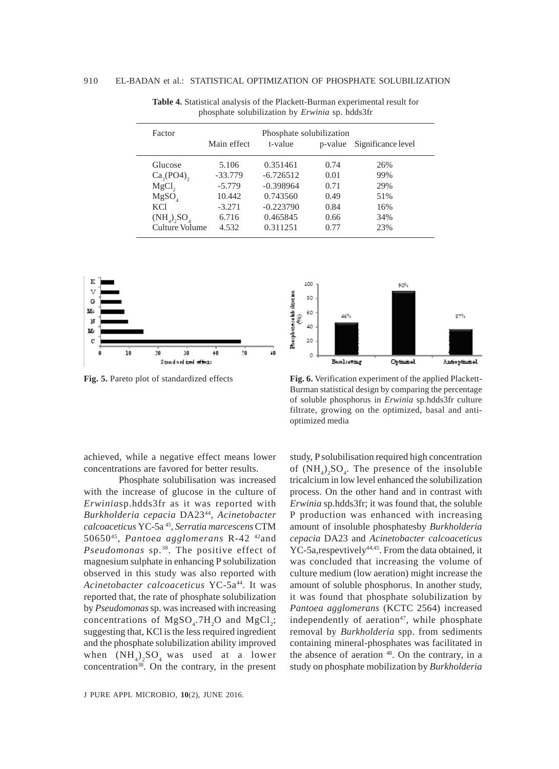| Factor                                                                                      | Main effect                                                   | Phosphate solubilization<br>t-value                                           | p-value                                      | Significance level                     |  |
|---------------------------------------------------------------------------------------------|---------------------------------------------------------------|-------------------------------------------------------------------------------|----------------------------------------------|----------------------------------------|--|
| Glucose<br>$Ca3(PO4)$ ,<br>$MgCl$ ,<br>MgSO <sub>4</sub><br><b>KCl</b><br>$(NH_4)$ , $SO_4$ | 5.106<br>$-33.779$<br>$-5.779$<br>10.442<br>$-3.271$<br>6.716 | 0.351461<br>$-6.726512$<br>$-0.398964$<br>0.743560<br>$-0.223790$<br>0.465845 | 0.74<br>0.01<br>0.71<br>0.49<br>0.84<br>0.66 | 26%<br>99%<br>29%<br>51%<br>16%<br>34% |  |
| Culture Volume                                                                              | 4.532                                                         | 0.311251                                                                      | 0.77                                         | 23%                                    |  |
|                                                                                             |                                                               |                                                                               |                                              |                                        |  |

**Table 4.** Statistical analysis of the Plackett-Burman experimental result for phosphate solubilization by *Erwinia* sp. hdds3fr





**Fig. 5.** Pareto plot of standardized effects **Fig. 6.** Verification experiment of the applied Plackett-Burman statistical design by comparing the percentage of soluble phosphorus in *Erwinia* sp.hdds3fr culture filtrate, growing on the optimized, basal and antioptimized media

achieved, while a negative effect means lower concentrations are favored for better results.

Phosphate solubilisation was increased with the increase of glucose in the culture of *Erwinia*sp.hdds3fr as it was reported with *Burkholderia cepacia* DA2344, *Acinetobacter calcoaceticus* YC-5a 45, *Serratia marcescens* CTM 5065045, *Pantoea agglomerans* R-42 42and *Pseudomonas* sp.38. The positive effect of magnesium sulphate in enhancing P solubilization observed in this study was also reported with *Acinetobacter calcoaceticus* YC-5a44. It was reported that, the rate of phosphate solubilization by *Pseudomonas* sp. was increased with increasing concentrations of  $MgSO_4$ .7H<sub>2</sub>O and  $MgCl_2$ ; suggesting that, KCl is the less required ingredient and the phosphate solubilization ability improved when  $(NH_4)_2SO_4$  was used at a lower concentration<sup>38</sup>. On the contrary, in the present

study, P solubilisation required high concentration of  $(NH_4)_2SO_4$ . The presence of the insoluble tricalcium in low level enhanced the solubilization process. On the other hand and in contrast with *Erwinia* sp*.*hdds3fr; it was found that, the soluble P production was enhanced with increasing amount of insoluble phosphatesby *Burkholderia cepacia* DA23 and *Acinetobacter calcoaceticus* YC-5a, respevtively<sup>44,45</sup>. From the data obtained, it was concluded that increasing the volume of culture medium (low aeration) might increase the amount of soluble phosphorus. In another study, it was found that phosphate solubilization by *Pantoea agglomerans* (KCTC 2564) increased independently of aeration $47$ , while phosphate removal by *Burkholderia* spp. from sediments containing mineral-phosphates was facilitated in the absence of aeration <sup>48</sup>. On the contrary, in a study on phosphate mobilization by *Burkholderia*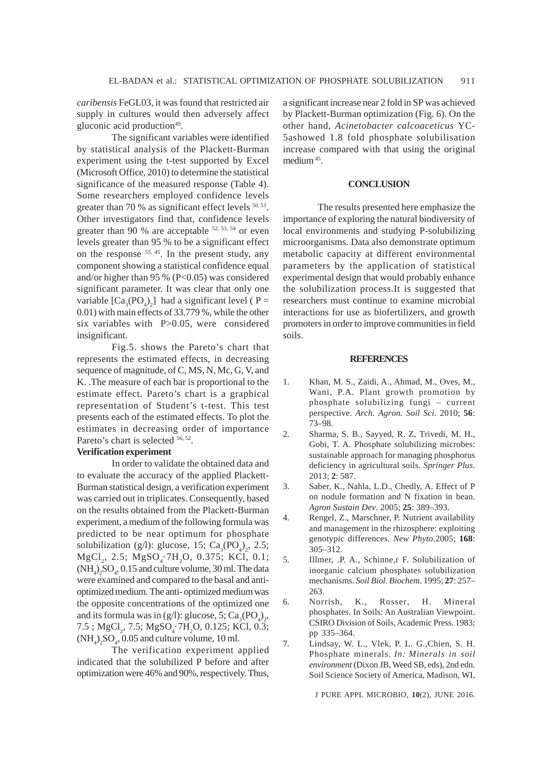*caribensis* FeGL03, it was found that restricted air supply in cultures would then adversely affect gluconic acid production<sup>49</sup>.

The significant variables were identified by statistical analysis of the Plackett-Burman experiment using the t-test supported by Excel (Microsoft Office, 2010) to determine the statistical significance of the measured response (Table 4). Some researchers employed confidence levels greater than 70 % as significant effect levels  $50, 51$ . Other investigators find that, confidence levels greater than 90 % are acceptable <sup>52, 53, 54</sup> or even levels greater than 95 % to be a significant effect on the response <sup>55, 45</sup>. In the present study, any component showing a statistical confidence equal and/or higher than 95 % (P<0.05) was considered significant parameter. It was clear that only one variable  $[Ca_3(PO_4)_2]$  had a significant level (P = 0.01) with main effects of 33.779 %, while the other six variables with P>0.05, were considered insignificant.

Fig.5. shows the Pareto's chart that represents the estimated effects, in decreasing sequence of magnitude, of C, MS, N, Mc, G, V, and K. .The measure of each bar is proportional to the estimate effect. Pareto's chart is a graphical representation of Student's t-test. This test presents each of the estimated effects. To plot the estimates in decreasing order of importance Pareto's chart is selected  $56, 52$ .

### **Verification experiment**

In order to validate the obtained data and to evaluate the accuracy of the applied Plackett-Burman statistical design, a verification experiment was carried out in triplicates. Consequently, based on the results obtained from the Plackett-Burman experiment, a medium of the following formula was predicted to be near optimum for phosphate solubilization (g/l): glucose, 15;  $Ca<sub>3</sub>(PO<sub>4</sub>)<sub>2</sub>$ , 2.5;  $MgCl<sub>2</sub>$ , 2.5;  $MgSO<sub>4</sub>$ ; 7H<sub>2</sub>O, 0.375; KCl, 0.1;  $(NH_4)_2SO_4$ , 0.15 and culture volume, 30 ml. The data were examined and compared to the basal and antioptimized medium. The anti- optimized medium was the opposite concentrations of the optimized one and its formula was in (g/l): glucose, 5;  $Ca_3(PO_4)_2$ , 7.5;  $MgCl_2$ , 7.5;  $MgSO_4$ ·7H<sub>2</sub>O, 0.125; KCl, 0.3;  $(NH_4)_2SO_4$ , 0.05 and culture volume, 10 ml.

The verification experiment applied indicated that the solubilized P before and after optimization were 46% and 90%, respectively. Thus, a significant increase near 2 fold in SP was achieved by Plackett-Burman optimization (Fig. 6). On the other hand, *Acinetobacter calcoaceticus* YC-5ashowed 1.8 fold phosphate solubilisation increase compared with that using the original medium 45.

#### **CONCLUSION**

The results presented here emphasize the importance of exploring the natural biodiversity of local environments and studying P-solubilizing microorganisms. Data also demonstrate optimum metabolic capacity at different environmental parameters by the application of statistical experimental design that would probably enhance the solubilization process.It is suggested that researchers must continue to examine microbial interactions for use as biofertilizers, and growth promoters in order to improve communities in field soils.

#### **REFERENCES**

- 1. Khan, M. S., Zaidi, A., Ahmad, M., Oves, M., Wani, P.A. Plant growth promotion by phosphate solubilizing fungi – current perspective. *Arch. Agron. Soil Sci*. 2010; **56**: 73–98.
- 2. Sharma, S. B., Sayyed, R. Z, Trivedi, M. H., Gobi, T. A. Phosphate solubilizing microbes: sustainable approach for managing phosphorus deficiency in agricultural soils. *Springer Plus*. 2013; **2**: 587.
- 3. Saber, K., Nahla, L.D., Chedly, A. Effect of P on nodule formation and N fixation in bean. *Agron Sustain Dev*. 2005; **25**: 389–393.
- 4. Rengel, Z., Marschner, P. Nutrient availability and management in the rhizosphere: exploiting genotypic differences. *New Phyto*.2005; **168**: 305–312.
- 5. Illmer, .P. A., Schinne,r F. Solubilization of inorganic calcium phosphates solubilization mechanisms. *Soil Biol. Biochem*. 1995; **27**: 257– 263.
- 6. Norrish, K., Rosser, H. Mineral phosphates. In Soils: An Australian Viewpoint. CSIRO Division of Soils, Academic Press. 1983; pp 335–364.
- 7. Lindsay, W. L., Vlek, P. L. G.,Chien, S. H. Phosphate minerals. *In: Minerals in soil environment* (Dixon JB, Weed SB, eds), 2nd edn. Soil Science Society of America, Madison, WI,

J PURE APPL MICROBIO*,* **10**(2), JUNE 2016.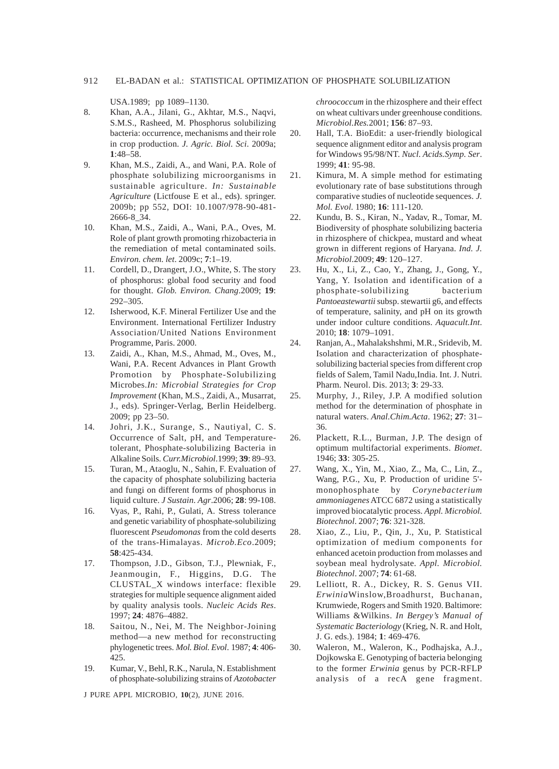USA.1989; pp 1089–1130.

- 8. Khan, A.A., Jilani, G., Akhtar, M.S., Naqvi, S.M.S., Rasheed, M. Phosphorus solubilizing bacteria: occurrence, mechanisms and their role in crop production. *J. Agric. Biol. Sci*. 2009a; **1**:48–58.
- 9. Khan, M.S., Zaidi, A., and Wani, P.A. Role of phosphate solubilizing microorganisms in sustainable agriculture. *In: Sustainable Agriculture* (Lictfouse E et al., eds). springer. 2009b; pp 552, DOI: 10.1007/978-90-481- 2666-8\_34.
- 10. Khan, M.S., Zaidi, A., Wani, P.A., Oves, M. Role of plant growth promoting rhizobacteria in the remediation of metal contaminated soils. *Environ. chem. let*. 2009c; **7**:1–19.
- 11. Cordell, D., Drangert, J.O., White, S. The story of phosphorus: global food security and food for thought. *Glob. Environ. Chang*.2009; **19**: 292–305.
- 12. Isherwood, K.F. Mineral Fertilizer Use and the Environment. International Fertilizer Industry Association/United Nations Environment Programme, Paris. 2000.
- 13. Zaidi, A., Khan, M.S., Ahmad, M., Oves, M., Wani, P.A. Recent Advances in Plant Growth Promotion by Phosphate-Solubilizing Microbes.*In: Microbial Strategies for Crop Improvement* (Khan, M.S., Zaidi, A., Musarrat, J., eds). Springer-Verlag, Berlin Heidelberg. 2009; pp 23–50.
- 14. Johri, J.K., Surange, S., Nautiyal, C. S. Occurrence of Salt, pH, and Temperaturetolerant, Phosphate-solubilizing Bacteria in Alkaline Soils. *Curr.Microbiol*.1999; **39**: 89–93.
- 15. Turan, M., Ataoglu, N., Sahin, F. Evaluation of the capacity of phosphate solubilizing bacteria and fungi on different forms of phosphorus in liquid culture. *J Sustain. Agr*.2006; **28**: 99-108.
- 16. Vyas, P., Rahi, P., Gulati, A. Stress tolerance and genetic variability of phosphate-solubilizing fluorescent *Pseudomonas* from the cold deserts of the trans-Himalayas. *Microb.Eco*.2009; **58**:425-434.
- 17. Thompson, J.D., Gibson, T.J., Plewniak, F., Jeanmougin, F., Higgins, D.G. The CLUSTAL\_X windows interface: flexible strategies for multiple sequence alignment aided by quality analysis tools. *Nucleic Acids Res*. 1997; **24**: 4876–4882.
- 18. Saitou, N., Nei, M. The Neighbor-Joining method—a new method for reconstructing phylogenetic trees. *Mol. Biol. Evol*. 1987; **4**: 406- 425.
- 19. Kumar, V., Behl, R.K., Narula, N. Establishment of phosphate-solubilizing strains of *Azotobacter*

J PURE APPL MICROBIO*,* **10**(2), JUNE 2016.

*chroococcum* in the rhizosphere and their effect on wheat cultivars under greenhouse conditions. *Microbiol.Res.*2001; **156**: 87–93.

- 20. Hall, T.A. BioEdit: a user-friendly biological sequence alignment editor and analysis program for Windows 95/98/NT. *Nucl. Acids.Symp. Ser*. 1999; **41**: 95-98.
- 21. Kimura, M. A simple method for estimating evolutionary rate of base substitutions through comparative studies of nucleotide sequences. *J. Mol. Evol*. 1980; **16**: 111-120.
- 22. Kundu, B. S., Kiran, N., Yadav, R., Tomar, M. Biodiversity of phosphate solubilizing bacteria in rhizosphere of chickpea, mustard and wheat grown in different regions of Haryana. *Ind. J. Microbiol*.2009; **49**: 120–127.
- 23. Hu, X., Li, Z., Cao, Y., Zhang, J., Gong, Y., Yang, Y. Isolation and identification of a phosphate-solubilizing bacterium *Pantoeastewartii* subsp. stewartii g6, and effects of temperature, salinity, and pH on its growth under indoor culture conditions. *Aquacult.Int*. 2010; **18**: 1079–1091.
- 24. Ranjan, A., Mahalakshshmi, M.R., Sridevib, M. Isolation and characterization of phosphatesolubilizing bacterial species from different crop fields of Salem, Tamil Nadu,India. Int. J. Nutri. Pharm. Neurol. Dis. 2013; **3**: 29-33.
- 25. Murphy, J., Riley, J.P. A modified solution method for the determination of phosphate in natural waters. *Anal.Chim.Acta*. 1962; **27**: 31– 36.
- 26. Plackett, R.L., Burman, J.P. The design of optimum multifactorial experiments. *Biomet*. 1946; **33**: 305-25.
- 27. Wang, X., Yin, M., Xiao, Z., Ma, C., Lin, Z., Wang, P.G., Xu, P. Production of uridine 5' monophosphate by *Corynebacterium ammoniagenes* ATCC 6872 using a statistically improved biocatalytic process. *Appl. Microbiol. Biotechnol*. 2007; **76**: 321-328.
- 28. Xiao, Z., Liu, P., Qin, J., Xu, P. Statistical optimization of medium components for enhanced acetoin production from molasses and soybean meal hydrolysate. *Appl. Microbiol. Biotechnol*. 2007; **74**: 61-68.
- 29. Lelliott, R. A., Dickey, R. S. Genus VII. *Erwinia*Winslow,Broadhurst, Buchanan, Krumwiede, Rogers and Smith 1920. Baltimore: Williams &Wilkins. *In Bergey's Manual of Systematic Bacteriology* (Krieg, N. R. and Holt, J. G. eds.). 1984; **1**: 469-476.
- 30. Waleron, M., Waleron, K., Podhajska, A.J., Dojkowska E. Genotyping of bacteria belonging to the former *Erwinia* genus by PCR-RFLP analysis of a recA gene fragment.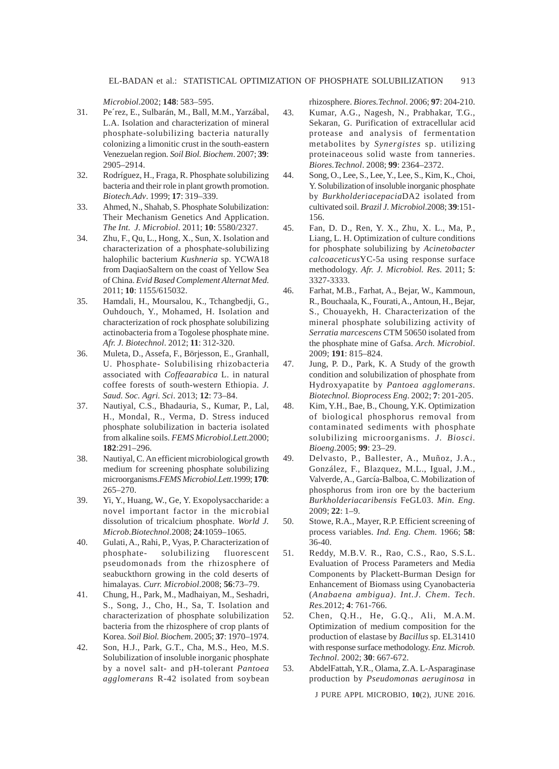*Microbiol*.2002; **148**: 583–595.

- 31. Pe´rez, E., Sulbarán, M., Ball, M.M., Yarzábal, L.A. Isolation and characterization of mineral phosphate-solubilizing bacteria naturally colonizing a limonitic crust in the south-eastern Venezuelan region. *Soil Biol. Biochem*. 2007; **39**: 2905–2914.
- 32. Rodríguez, H., Fraga, R. Phosphate solubilizing bacteria and their role in plant growth promotion. *Biotech.Adv*. 1999; **17**: 319–339.
- 33. Ahmed, N., Shahab, S. Phosphate Solubilization: Their Mechanism Genetics And Application. *The Int. J. Microbiol*. 2011; **10**: 5580/2327.
- 34. Zhu, F., Qu, L., Hong, X., Sun, X. Isolation and characterization of a phosphate-solubilizing halophilic bacterium *Kushneria* sp. YCWA18 from DaqiaoSaltern on the coast of Yellow Sea of China. *Evid Based Complement Alternat Med*. 2011; **10**: 1155/615032.
- 35. Hamdali, H., Moursalou, K., Tchangbedji, G., Ouhdouch, Y., Mohamed, H. Isolation and characterization of rock phosphate solubilizing actinobacteria from a Togolese phosphate mine. *Afr. J. Biotechnol*. 2012; **11**: 312-320.
- 36. Muleta, D., Assefa, F., Börjesson, E., Granhall, U. Phosphate- Solubilising rhizobacteria associated with *Coffeaarabica* L. in natural coffee forests of south-western Ethiopia. *J. Saud. Soc. Agri. Sci*. 2013; **12**: 73–84.
- 37. Nautiyal, C.S., Bhadauria, S., Kumar, P., Lal, H., Mondal, R., Verma, D. Stress induced phosphate solubilization in bacteria isolated from alkaline soils. *FEMS Microbiol.Lett*.2000; **182**:291–296.
- 38. Nautiyal, C. An efficient microbiological growth medium for screening phosphate solubilizing microorganisms.*FEMS Microbiol.Lett*.1999; **170**: 265–270.
- 39. Yi, Y., Huang, W., Ge, Y. Exopolysaccharide: a novel important factor in the microbial dissolution of tricalcium phosphate. *World J. Microb.Biotechnol*.2008; **24**:1059–1065.
- 40. Gulati, A., Rahi, P., Vyas, P. Characterization of phosphate- solubilizing fluorescent pseudomonads from the rhizosphere of seabuckthorn growing in the cold deserts of himalayas. *Curr. Microbiol*.2008; **56**:73–79.
- 41. Chung, H., Park, M., Madhaiyan, M., Seshadri, S., Song, J., Cho, H., Sa, T. Isolation and characterization of phosphate solubilization bacteria from the rhizosphere of crop plants of Korea. *Soil Biol. Biochem*. 2005; **37**: 1970–1974.
- 42. Son, H.J., Park, G.T., Cha, M.S., Heo, M.S. Solubilization of insoluble inorganic phosphate by a novel salt- and pH-tolerant *Pantoea agglomerans* R-42 isolated from soybean

rhizosphere. *Biores.Technol*. 2006; **97**: 204-210.

- 43. Kumar, A.G., Nagesh, N., Prabhakar, T.G., Sekaran, G. Purification of extracellular acid protease and analysis of fermentation metabolites by *Synergistes* sp. utilizing proteinaceous solid waste from tanneries. *Biores.Technol*. 2008; **99**: 2364–2372.
- 44. Song, O., Lee, S., Lee, Y., Lee, S., Kim, K., Choi, Y. Solubilization of insoluble inorganic phosphate by *Burkholderiacepacia*DA2 isolated from cultivated soil. *Brazil J. Microbiol*.2008; **39**:151- 156.
- 45. Fan, D. D., Ren, Y. X., Zhu, X. L., Ma, P., Liang, L. H. Optimization of culture conditions for phosphate solubilizing by *Acinetobacter calcoaceticus*YC-5a using response surface methodology. *Afr. J. Microbiol. Res*. 2011; **5**: 3327-3333.
- 46. Farhat, M.B., Farhat, A., Bejar, W., Kammoun, R., Bouchaala, K., Fourati, A., Antoun, H., Bejar, S., Chouayekh, H. Characterization of the mineral phosphate solubilizing activity of *Serratia marcescens* CTM 50650 isolated from the phosphate mine of Gafsa. *Arch. Microbiol*. 2009; **191**: 815–824.
- 47. Jung, P. D., Park, K. A Study of the growth condition and solubilization of phosphate from Hydroxyapatite by *Pantoea agglomerans. Biotechnol. Bioprocess Eng*. 2002; **7**: 201-205.
- 48. Kim, Y.H., Bae, B., Choung, Y.K. Optimization of biological phosphorus removal from contaminated sediments with phosphate solubilizing microorganisms. *J. Biosci. Bioeng*.2005; **99**: 23–29.
- 49. Delvasto, P., Ballester, A., Muñoz, J.A., González, F., Blazquez, M.L., Igual, J.M., Valverde, A., García-Balboa, C. Mobilization of phosphorus from iron ore by the bacterium *Burkholderiacaribensis* FeGL03. *Min. Eng.* 2009; **22**: 1–9.
- 50. Stowe, R.A., Mayer, R.P. Efficient screening of process variables. *Ind. Eng. Chem*. 1966; **58**: 36-40.
- 51. Reddy, M.B.V. R., Rao, C.S., Rao, S.S.L. Evaluation of Process Parameters and Media Components by Plackett-Burman Design for Enhancement of Biomass using Cyanobacteria (*Anabaena ambigua)*. *Int.J. Chem. Tech. Res*.2012; **4**: 761-766.
- 52. Chen, Q.H., He, G.Q., Ali, M.A.M. Optimization of medium composition for the production of elastase by *Bacillus* sp. EL31410 with response surface methodology. *Enz. Microb. Technol*. 2002; **30**: 667-672.
- 53. AbdelFattah, Y.R., Olama, Z.A. L-Asparaginase production by *Pseudomonas aeruginosa* in

J PURE APPL MICROBIO*,* **10**(2), JUNE 2016.